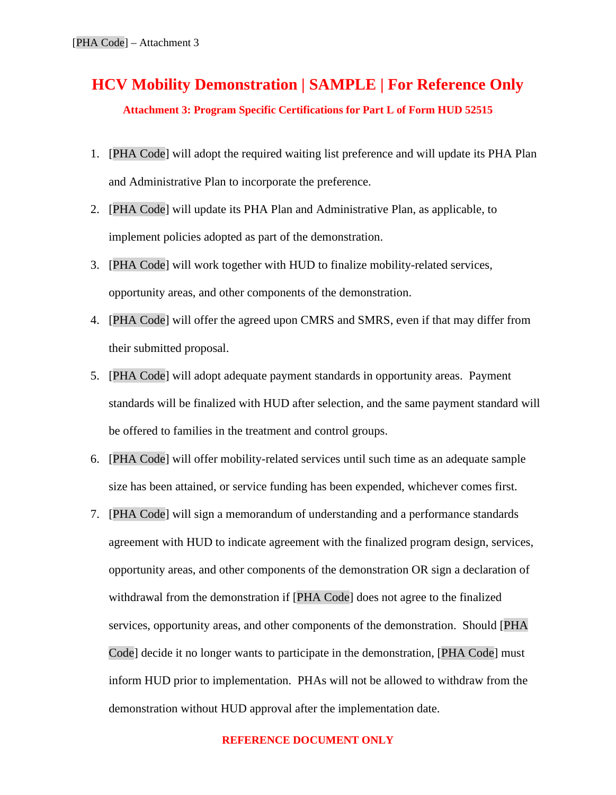## **HCV Mobility Demonstration | SAMPLE | For Reference Only Attachment 3: Program Specific Certifications for Part L of Form HUD 52515**

- 1. [PHA Code] will adopt the required waiting list preference and will update its PHA Plan and Administrative Plan to incorporate the preference.
- 2. [PHA Code] will update its PHA Plan and Administrative Plan, as applicable, to implement policies adopted as part of the demonstration.
- 3. [PHA Code] will work together with HUD to finalize mobility-related services, opportunity areas, and other components of the demonstration.
- 4. [PHA Code] will offer the agreed upon CMRS and SMRS, even if that may differ from their submitted proposal.
- 5. [PHA Code] will adopt adequate payment standards in opportunity areas. Payment standards will be finalized with HUD after selection, and the same payment standard will be offered to families in the treatment and control groups.
- 6. [PHA Code] will offer mobility-related services until such time as an adequate sample size has been attained, or service funding has been expended, whichever comes first.
- 7. [PHA Code] will sign a memorandum of understanding and a performance standards agreement with HUD to indicate agreement with the finalized program design, services, opportunity areas, and other components of the demonstration OR sign a declaration of withdrawal from the demonstration if [PHA Code] does not agree to the finalized services, opportunity areas, and other components of the demonstration. Should [PHA Code] decide it no longer wants to participate in the demonstration, [PHA Code] must inform HUD prior to implementation. PHAs will not be allowed to withdraw from the demonstration without HUD approval after the implementation date.

## **REFERENCE DOCUMENT ONLY**